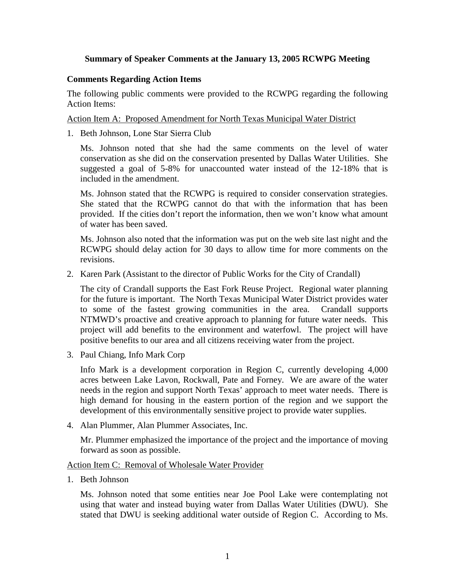## **Summary of Speaker Comments at the January 13, 2005 RCWPG Meeting**

### **Comments Regarding Action Items**

The following public comments were provided to the RCWPG regarding the following Action Items:

#### Action Item A: Proposed Amendment for North Texas Municipal Water District

1. Beth Johnson, Lone Star Sierra Club

Ms. Johnson noted that she had the same comments on the level of water conservation as she did on the conservation presented by Dallas Water Utilities. She suggested a goal of 5-8% for unaccounted water instead of the 12-18% that is included in the amendment.

Ms. Johnson stated that the RCWPG is required to consider conservation strategies. She stated that the RCWPG cannot do that with the information that has been provided. If the cities don't report the information, then we won't know what amount of water has been saved.

Ms. Johnson also noted that the information was put on the web site last night and the RCWPG should delay action for 30 days to allow time for more comments on the revisions.

2. Karen Park (Assistant to the director of Public Works for the City of Crandall)

The city of Crandall supports the East Fork Reuse Project. Regional water planning for the future is important. The North Texas Municipal Water District provides water to some of the fastest growing communities in the area. Crandall supports NTMWD's proactive and creative approach to planning for future water needs. This project will add benefits to the environment and waterfowl. The project will have positive benefits to our area and all citizens receiving water from the project.

3. Paul Chiang, Info Mark Corp

Info Mark is a development corporation in Region C, currently developing 4,000 acres between Lake Lavon, Rockwall, Pate and Forney. We are aware of the water needs in the region and support North Texas' approach to meet water needs. There is high demand for housing in the eastern portion of the region and we support the development of this environmentally sensitive project to provide water supplies.

4. Alan Plummer, Alan Plummer Associates, Inc.

Mr. Plummer emphasized the importance of the project and the importance of moving forward as soon as possible.

Action Item C: Removal of Wholesale Water Provider

1. Beth Johnson

Ms. Johnson noted that some entities near Joe Pool Lake were contemplating not using that water and instead buying water from Dallas Water Utilities (DWU). She stated that DWU is seeking additional water outside of Region C. According to Ms.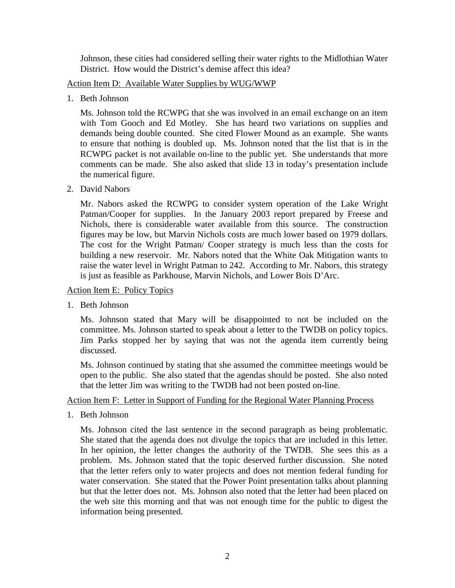Johnson, these cities had considered selling their water rights to the Midlothian Water District. How would the District's demise affect this idea?

Action Item D: Available Water Supplies by WUG/WWP

1. Beth Johnson

Ms. Johnson told the RCWPG that she was involved in an email exchange on an item with Tom Gooch and Ed Motley. She has heard two variations on supplies and demands being double counted. She cited Flower Mound as an example. She wants to ensure that nothing is doubled up. Ms. Johnson noted that the list that is in the RCWPG packet is not available on-line to the public yet. She understands that more comments can be made. She also asked that slide 13 in today's presentation include the numerical figure.

2. David Nabors

Mr. Nabors asked the RCWPG to consider system operation of the Lake Wright Patman/Cooper for supplies. In the January 2003 report prepared by Freese and Nichols, there is considerable water available from this source. The construction figures may be low, but Marvin Nichols costs are much lower based on 1979 dollars. The cost for the Wright Patman/ Cooper strategy is much less than the costs for building a new reservoir. Mr. Nabors noted that the White Oak Mitigation wants to raise the water level in Wright Patman to 242. According to Mr. Nabors, this strategy is just as feasible as Parkhouse, Marvin Nichols, and Lower Bois D'Arc.

Action Item E: Policy Topics

1. Beth Johnson

Ms. Johnson stated that Mary will be disappointed to not be included on the committee. Ms. Johnson started to speak about a letter to the TWDB on policy topics. Jim Parks stopped her by saying that was not the agenda item currently being discussed.

Ms. Johnson continued by stating that she assumed the committee meetings would be open to the public. She also stated that the agendas should be posted. She also noted that the letter Jim was writing to the TWDB had not been posted on-line.

# Action Item F: Letter in Support of Funding for the Regional Water Planning Process

1. Beth Johnson

Ms. Johnson cited the last sentence in the second paragraph as being problematic. She stated that the agenda does not divulge the topics that are included in this letter. In her opinion, the letter changes the authority of the TWDB. She sees this as a problem. Ms. Johnson stated that the topic deserved further discussion. She noted that the letter refers only to water projects and does not mention federal funding for water conservation. She stated that the Power Point presentation talks about planning but that the letter does not. Ms. Johnson also noted that the letter had been placed on the web site this morning and that was not enough time for the public to digest the information being presented.